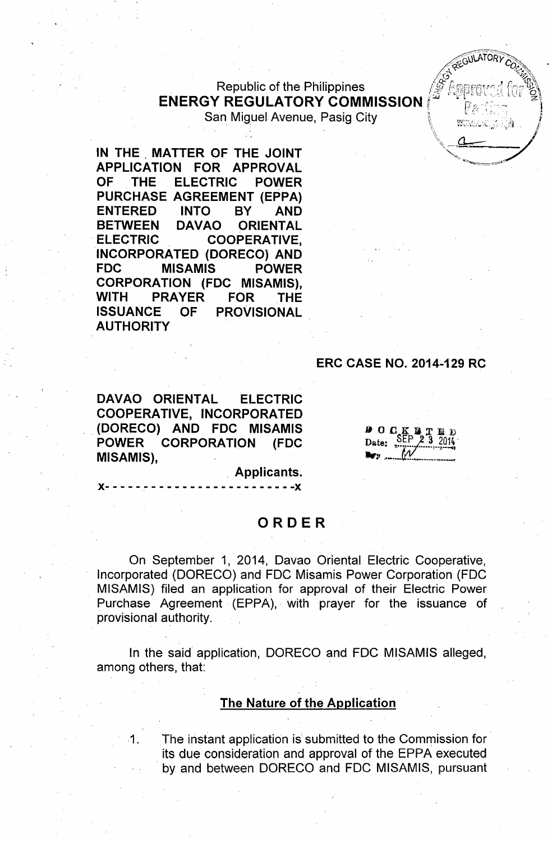Republic of the Philippines **ENERGY REGULATORY COMMISSION** San Miquel Avenue, Pasig City

**IN THE, MATTER OF THE JOINT APPLICATION FOR APPROVAL OF THE ELECTRIC POWER PURCHASE AGREEMENT (EPPA) ENTERED INTO BY AND BETWEEN DAVAO ORIENTAL . ELECTRIC COOPERATIVE,** INCORPORATED (DORECO) **AND FDC MISAMIS POWER CORPORATION (FDC MISAMIS), WITH PRAYER FOR THE ISSUANCE OF PROVISIONAL AUTHORITY**

## **ERC CASE NO. 2014-129 RC**

REGULATORY

WWW.Lee

**DAVAO ORIENTAL ELECTRIC COOPERATIVE, INCORPORATED . (DORECO) AND FDC MISAMIS POWER CORPORATION (FDC MISAMIS),**

**}{- - - -** -.- - - - - - - - - - - - - - - - - - **--}{**

**, Applicants.**

## **ORDER**

On September 1, 2014, Oavao Oriental Electric Cooperative, Incorporated (OORECO) and FOC Misamis Power Corporation (FOC MISAMIS) filed an application for approval of their Electric Power Purchase Agreement (EPPA), with prayer for the issuance of provisional authority.

In the said application, OORECO and FOC MISAMIS alleged, among others, that:

#### **The Nature of the Application**

1. The instant application is submitted to the Commission for its due consideration and approval of the EPPA executed by and between DORECO and FDC MISAMIS, pursuant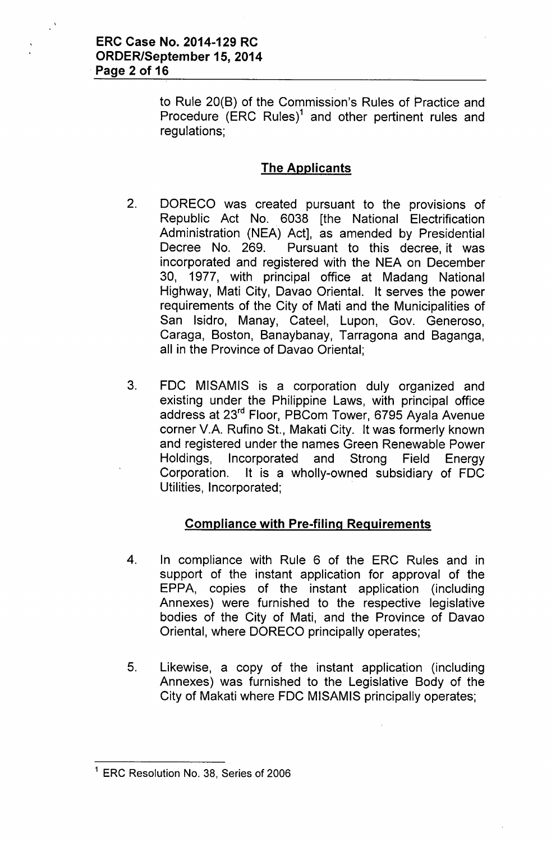to Rule 20(B) of the Commission's Rules of Practice and Procedure (ERC Rules)<sup>1</sup> and other pertinent rules and regulations;

## The Applicants

- 2. DORECO was created pursuant to the provisions of Republic Act No. 6038 [the National Electrification Administration (NEA) Act], as amended by Presidential Decree No. 269. Pursuant to this decree, it was incorporated and registered with the NEA on December 30, 1977, with principal office at Madang National Highway, Mati City, Davao Oriental. It serves the power requirements of the City of Mati and the Municipalities of San Isidro, Manay, Cateel, Lupon, Gov. Generoso, Caraga, Boston, Banaybanay, Tarragona and Baganga, all in the Province of Davao Oriental;
- 3. FDC MISAMIS is a corporation duly organized and existing under the Philippine Laws, with principal office address at 23rd Floor, PBCom Tower, 6795 Ayala Avenue corner V.A. Rufino St., Makati City. It was formerly known and registered under the names Green Renewable Power Holdings, Incorporated and Strong Field Energy Corporation. It is a wholly-owned subsidiary of FDC Utilities, Incorporated;

# Compliance with Pre-filing Requirements

- 4. In compliance with Rule 6 of the ERC Rules and in support of the instant application for approval of the EPPA, copies of the instant application (including Annexes) were furnished to the respective legislative bodies of the City of Mati, and the Province of Davao Oriental, where DORECO principally operates;
- 5. Likewise, a copy of the instant application (including Annexes) was furnished to the Legislative Body of the City of Makati where FDC MISAMIS principally operates;

<sup>&</sup>lt;sup>1</sup> ERC Resolution No. 38, Series of 2006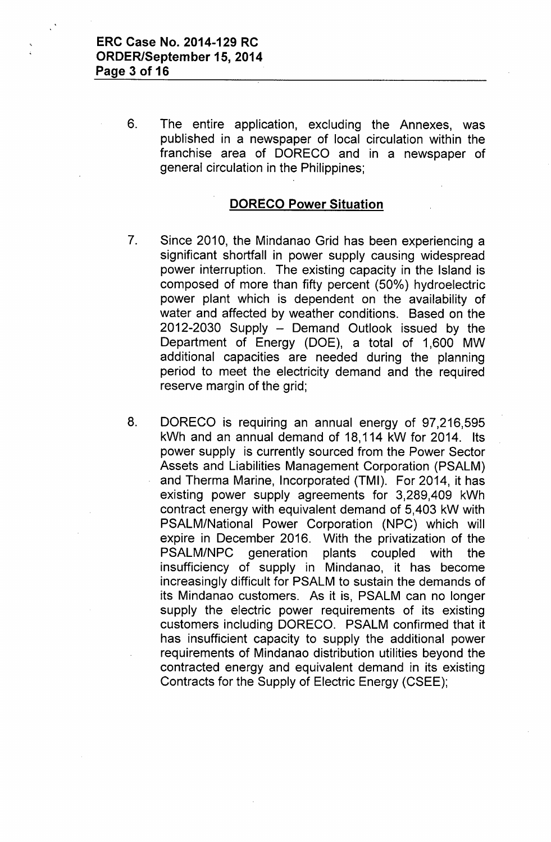6. The entire application, excluding the Annexes, was published in a newspaper of local circulation within the franchise area of DORECO and in a newspaper of general circulation in the Philippines;

### **DORECO Power Situation**

- 7. Since 2010, the Mindanao Grid has been experiencing a significant shortfall in power supply causing widespread power interruption. The existing capacity in the Island is composed of more than fifty percent (50%) hydroelectric power plant which is dependent on the availability of water and affected by weather conditions. Based on the  $2012-2030$  Supply  $-$  Demand Outlook issued by the Department of Energy (DOE), a total of 1,600 MW additional capacities are needed during the planning period to meet the electricity demand and the required reserve margin of the grid;
- 8. DORECO is requiring an annual energy of 97,216,595 kWh and an annual demand of 18,114 kW for 2014. Its power supply is currently sourced from the Power Sector Assets and Liabilities Management Corporation (PSALM) and Therma Marine, Incorporated (TMI). For 2014, it has existing power supply agreements for 3,289,409 kWh contract energy with equivalent demand of 5,403 kW with PSALM/National Power Corporation (NPC) which will expire in December 2016. With the privatization of the PSALM/NPC generation plants coupled with the insufficiency of supply in Mindanao, it has become increasingly difficult for PSALM to sustain the demands of its Mindanao customers. As it is, PSALM can no longer supply the electric power requirements of its existing customers including DORECO. PSALM confirmed that it has insufficient capacity to supply the additional power requirements of Mindanao distribution utilities beyond the contracted energy and equivalent demand in its existing Contracts for the Supply of Electric Energy (CSEE);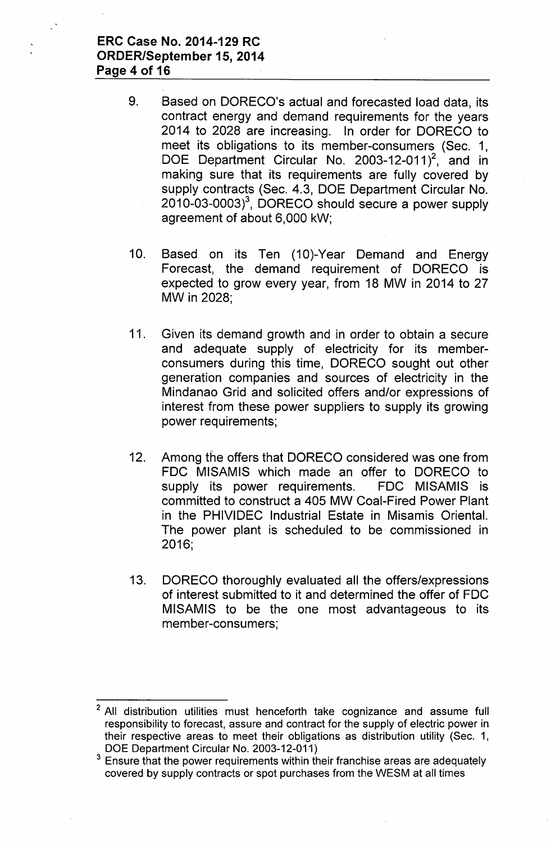- 9. Based on DORECO's actual and forecasted load data, its contract energy and demand requirements for the years 2014 to 2028 are increasing. In order for DORECO to meet its obligations to its member-consumers (Sec. 1, DOE Department Circular No. 2003-12-011 $^2$ , and in making sure that its requirements are fully covered by supply contracts (Sec. 4.3, DOE Department Circular No. 2010-03-0003)3, DORECO should secure a power supply agreement of about 6,000 kW;
- 10. Based on its Ten (10)-Year Demand and Energy Forecast, the demand requirement of DORECO is expected to grow every year, from 18 MW in 2014 to 27 MW in 2028;
- 11. Given its demand growth and in order to obtain a secure and adequate supply of electricity for its memberconsumers during this time, DORECO sought out other generation companies and sources of electricity in the Mindanao Grid and solicited offers and/or expressions of interest from these power suppliers to supply its growing power requirements;
- 12. Among the offers that DORECO considered was one from FDC MISAMIS which made an offer to DORECO to supply its power requirements. FDC MISAMIS is committed to construct a 405 MW Coal-Fired Power Plant in the PHIVIDEC Industrial Estate in Misamis Oriental. The power plant is scheduled to be. commissioned in 2016;
- 13. DORECO thoroughly evaluated all the offers/expressions of interest submitted to it and determined the offer of FDC MISAMIS to be the one most advantageous to its member-consumers;

<sup>&</sup>lt;sup>2</sup> All distribution utilities must henceforth take cognizance and assume full responsibility to forecast, assure and contract for the supply of electric power in their respective areas to meet their obligations as distribution utility (Sec. 1, DOE Department Circular No. 2003-12-011)

 $3$  Ensure that the power requirements within their franchise areas are adequately covered by supply contracts or spot purchases from the WESM at all times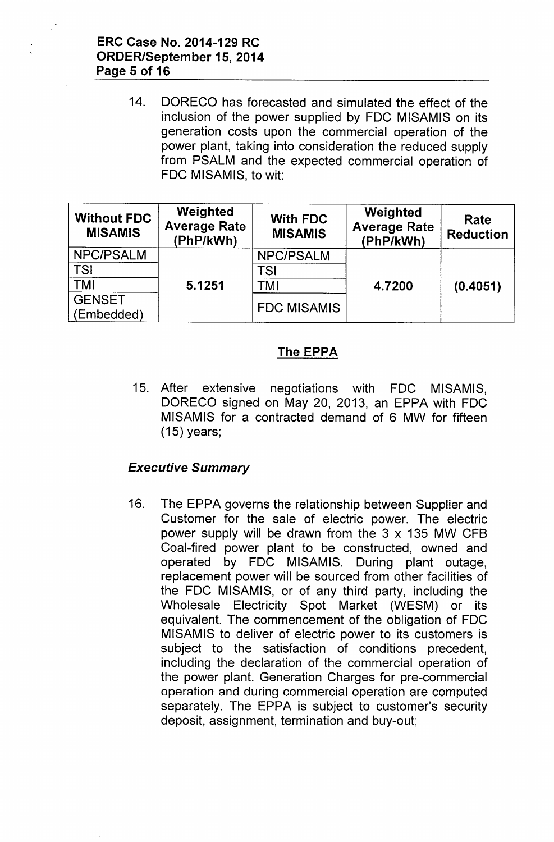14. OORECO has forecasted and simulated the effect of the inclusion of the power supplied by FOC MISAMIS on its generation costs upon the commercial operation of the power plant, taking into consideration the reduced supply from PSALM and the expected commercial operation of FOC MISAMIS, to wit:

| <b>Without FDC</b><br><b>MISAMIS</b> | <b>Weighted</b><br><b>Average Rate</b><br>(PhP/kWh) | <b>With FDC</b><br><b>MISAMIS</b> | Weighted<br><b>Average Rate</b><br>(PhP/kWh) | Rate<br><b>Reduction</b> |
|--------------------------------------|-----------------------------------------------------|-----------------------------------|----------------------------------------------|--------------------------|
| NPC/PSALM                            | 5.1251                                              | <b>NPC/PSALM</b>                  | 4.7200                                       | (0.4051)                 |
| <b>TSI</b>                           |                                                     | TSI                               |                                              |                          |
| <b>TMI</b>                           |                                                     | TMI                               |                                              |                          |
| <b>GENSET</b><br>(Embedded)          |                                                     | <b>FDC MISAMIS</b>                |                                              |                          |

## The EPPA

15. After extensive negotiations with FOC MISAMIS, OORECO signed on May 20, 2013, an EPPA with FOC MISAMIS for a contracted demand of 6 MW for fifteen (15) years;

## *Executive Summary*

16. The EPPA governs the relationship between Supplier and Customer for the sale of electric power. The electric power supply will be drawn from the 3 x 135 MW CFB Coal-fired power plant to be constructed, owned and operated by FOC MISAMIS. During plant outage, replacement power will be sourced from other facilities of the FOC MISAMIS, or of any third party, including the Wholesale Electricity Spot Market (WESM) or its equivalent. The commencement of the obligation of FOC MISAMIS to deliver of electric power to its customers is subject to the satisfaction of conditions precedent, including the declaration of the commercial operation of the power plant. Generation Charges for pre-commercial operation and during commercial operation are computed separately. The EPPA is subject to customer's security deposit, assignment, termination and buy-out;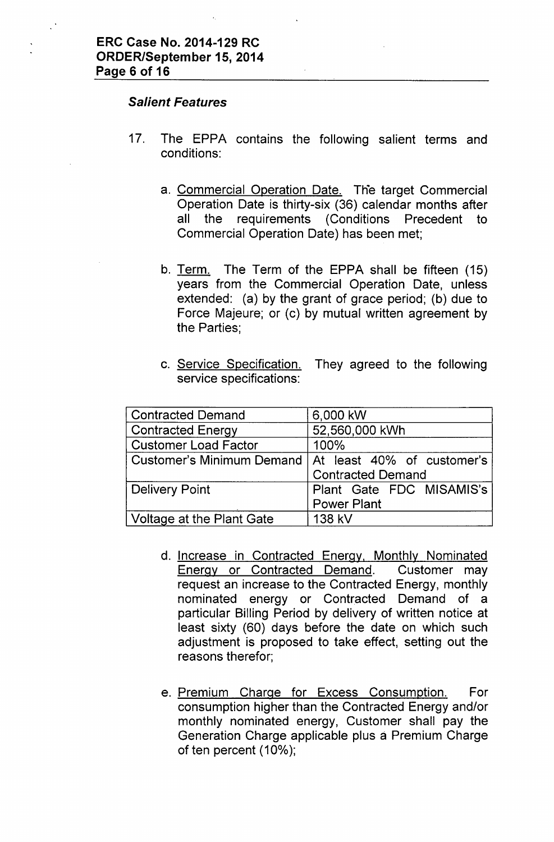### *Salient Features*

- 17. The EPPA contains the following salient terms and conditions:
	- a. Commercial Operation Date. The target Commercial Operation Date is thirty-six (36) calendar months after all the requirements (Conditions Precedent to Commercial Operation Date) has been met;
	- b. Term. The Term of the EPPA shall be fifteen (15) years from the Commercial Operation Date, unless extended: (a) by the grant of grace period; (b) due to Force Majeure; or (c) by mutual written agreement by the Parties;
	- c. Service Specification. They agreed to the following service specifications:

| <b>Contracted Demand</b>    | 6,000 kW                                               |  |  |
|-----------------------------|--------------------------------------------------------|--|--|
| <b>Contracted Energy</b>    | 52,560,000 kWh                                         |  |  |
| <b>Customer Load Factor</b> | 100%                                                   |  |  |
|                             | Customer's Minimum Demand   At least 40% of customer's |  |  |
|                             | <b>Contracted Demand</b>                               |  |  |
| Delivery Point              | Plant Gate FDC MISAMIS's                               |  |  |
|                             | <b>Power Plant</b>                                     |  |  |
| Voltage at the Plant Gate   | 138 kV                                                 |  |  |

- d. Increase in Contracted Energy. Monthly Nominated Energy or Contracted Demand. Customer may request an increase to the Contracted Energy, monthly nominated energy or Contracted Demand of a particular Billing Period by delivery of written notice at least sixty (60) days before the date on which such adjustment is proposed to take effect, setting out the reasons therefor;
- e. Premium Charge for Excess Consumption. For consumption higher than the Contracted Energy and/or monthly nominated energy, Customer shall pay the Generation Charge applicable plus a Premium Charge of ten percent (10%);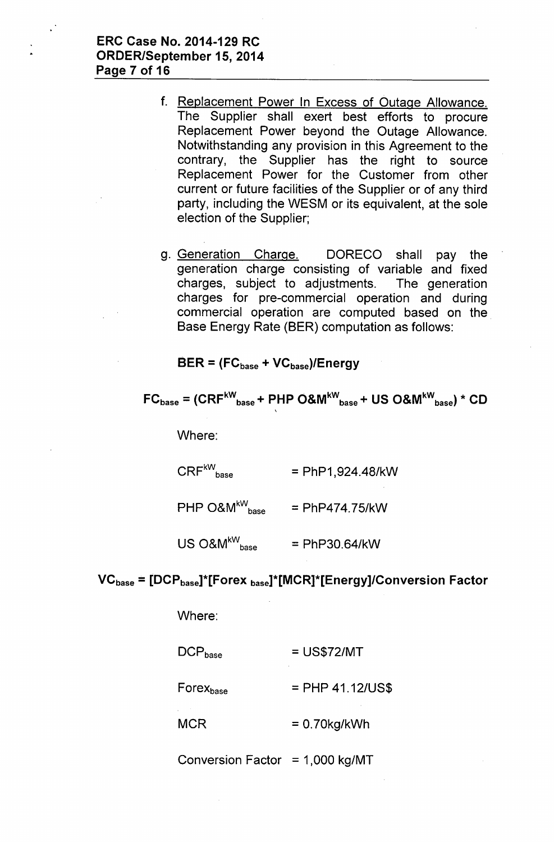ERC Case No. 2014-129 RC ORDER/September 15,2014 Page 7 of 16

- f. Replacement Power In Excess of Outage Allowance. The Supplier shall exert best efforts to procure Replacement Power beyond the Outage Allowance. Notwithstanding any provision in this Agreement to the contrary, the Supplier has the right to source Replacement Power for the Customer from other current or future facilities of the Supplier or of any third party, including the WESM or its equivalent, at the sole election of the Supplier;
- g. Generation Charge. DORECO shall pay the generation charge consisting of variable and fixed charges, subject to adjustments. The generation charges for pre-commercial operation and during commercial operation are computed based on the Base Energy Rate (BER) computation as follows:

 $BER = (FC_{base} + VC_{base})/Energy$ 

\

$$
FC_{base} = (CRF^{kW}_{base} + PHP O&W^{kW}_{base} + US O&W^{kW}_{base}) * CD
$$

Where:

 $CRF^{\text{kW}}_{\text{base}}$  $=$  PhP1,924.48/kW

 $PHP$  O&M<sup>kW</sup><sub>base</sub>  $=$  PhP474.75/kW

 $US O&M^{kW}_{\text{base}}$ = PhP30.64/kW

### $VC<sub>base</sub> = [DCP<sub>base</sub>]<sup>*</sup>[Forex<sub>base</sub>]<sup>*</sup>[MCR]<sup>*</sup>[Energy]/Conversion Factor$

Where:

| $DCP_{base}$   | $=$ US\$72/MT      |
|----------------|--------------------|
| $Force_{base}$ | $=$ PHP 41.12/US\$ |
| <b>MCR</b>     | $= 0.70$ kg/kWh    |

Conversion Factor =  $1,000$  kg/MT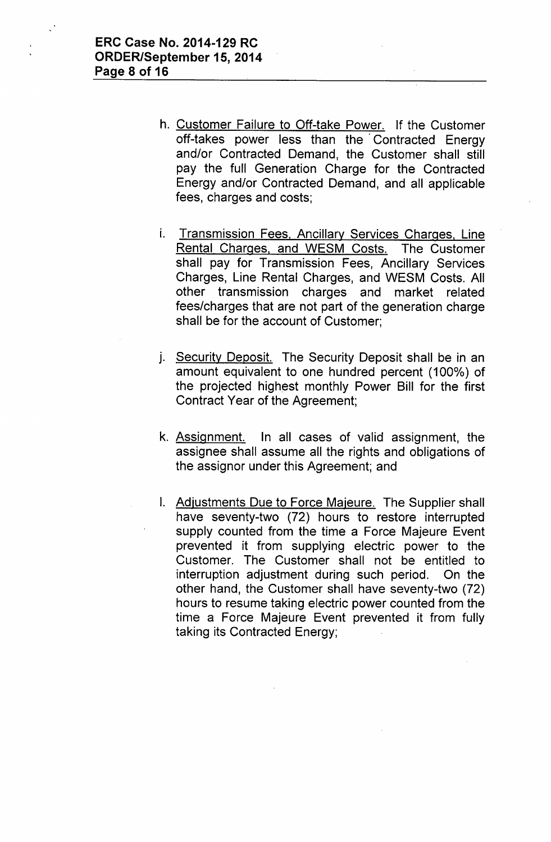- h. Customer Failure to Off-take Power. If the Customer off-takes power less than the' Contracted Energy and/or Contracted Demand, the Customer shall still pay the full Generation Charge for the Contracted Energy and/or Contracted Demand, and all applicable fees, charges and costs;
- i. Transmission Fees, Ancillary Services Charges, Line Rental Charges, and WESM Costs. The Customer shall pay for Transmission Fees, Ancillary Services Charges, Line Rental Charges, and WESM Costs. All other transmission charges and market related fees/charges that are not part of the generation charge shall be for the account of Customer;
- j. Security Deposit. The Security Deposit shall be in an amount equivalent to one hundred percent (100%) of the projected highest monthly Power Bill for the first Contract Year of the Agreement;
- k. Assignment. In all cases of valid assignment, the assignee shall assume all the rights and obligations of the assignor under this Agreement; and
- I. Adjustments Due to Force Majeure. The Supplier shall have seventy-two (72) hours to restore interrupted supply counted from the time a Force Majeure Event prevented it from supplying electric power to the Customer. The Customer shall not be entitled to interruption adjustment during such period. On the other hand, the Customer shall have seventy-two (72) hours to resume taking electric power counted from the time a Force Majeure Event prevented it from fully taking its Contracted Energy;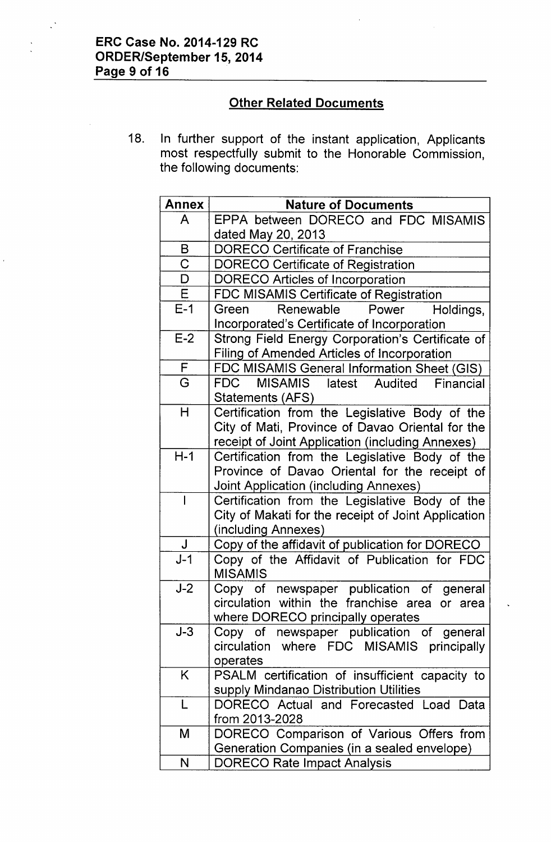$\mathbb{R}^3$ 

# Other Related Documents

18. In further support of the instant application, Applicants most respectfully submit to the Honorable Commission, the following documents:

| <b>Annex</b>            | <b>Nature of Documents</b>                                                            |
|-------------------------|---------------------------------------------------------------------------------------|
| A                       | EPPA between DORECO and FDC MISAMIS                                                   |
|                         | dated May 20, 2013                                                                    |
| B                       | <b>DORECO Certificate of Franchise</b>                                                |
| $\overline{\text{C}}$   | <b>DORECO Certificate of Registration</b>                                             |
| D                       | <b>DORECO Articles of Incorporation</b>                                               |
| $\overline{\mathsf{E}}$ | FDC MISAMIS Certificate of Registration                                               |
| $E-1$                   | Renewable<br>Green<br>Power<br>Holdings,                                              |
|                         | Incorporated's Certificate of Incorporation                                           |
| $E-2$                   | Strong Field Energy Corporation's Certificate of                                      |
|                         | Filing of Amended Articles of Incorporation                                           |
| F                       | FDC MISAMIS General Information Sheet (GIS)                                           |
| G                       | MISAMIS latest Audited Financial<br>FDC                                               |
|                         | Statements (AFS)                                                                      |
| H                       | Certification from the Legislative Body of the                                        |
|                         | City of Mati, Province of Davao Oriental for the                                      |
|                         | receipt of Joint Application (including Annexes)                                      |
| $H-1$                   | Certification from the Legislative Body of the                                        |
|                         | Province of Davao Oriental for the receipt of                                         |
|                         | Joint Application (including Annexes)                                                 |
|                         | Certification from the Legislative Body of the                                        |
|                         | City of Makati for the receipt of Joint Application                                   |
|                         | (including Annexes)                                                                   |
| $\mathsf J$             | Copy of the affidavit of publication for DORECO                                       |
| $J-1$                   | Copy of the Affidavit of Publication for FDC                                          |
|                         | <b>MISAMIS</b>                                                                        |
| $J-2$                   | Copy of newspaper publication of general                                              |
|                         | circulation within the franchise area or area                                         |
| $J-3$                   | where DORECO principally operates                                                     |
|                         | Copy of newspaper publication of general<br>circulation where FDC MISAMIS principally |
|                         | operates                                                                              |
| K.                      | PSALM certification of insufficient capacity to                                       |
|                         | supply Mindanao Distribution Utilities                                                |
| L                       | DORECO Actual and Forecasted Load Data                                                |
|                         | from 2013-2028                                                                        |
| M                       | DORECO Comparison of Various Offers from                                              |
|                         | Generation Companies (in a sealed envelope)                                           |
| N                       | <b>DORECO Rate Impact Analysis</b>                                                    |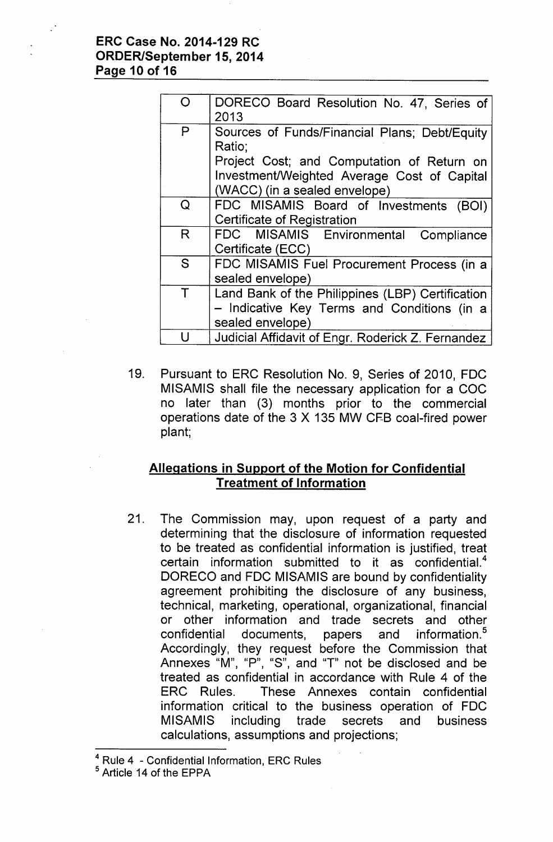### **ERC Case No. 2014-129 RC ORDER/September 15, 2014 Page 10 of 16**

| $\cap$ | DORECO Board Resolution No. 47, Series of<br>2013       |
|--------|---------------------------------------------------------|
| P      | Sources of Funds/Financial Plans; Debt/Equity<br>Ratio; |
|        | Project Cost; and Computation of Return on              |
|        | Investment/Weighted Average Cost of Capital             |
|        | (WACC) (in a sealed envelope)                           |
| Q      | FDC MISAMIS Board of Investments<br>(BOI)               |
|        | <b>Certificate of Registration</b>                      |
| R      | FDC MISAMIS Environmental<br>Compliance                 |
|        | Certificate (ECC)                                       |
| S      | FDC MISAMIS Fuel Procurement Process (in a              |
|        | sealed envelope)                                        |
| T      | Land Bank of the Philippines (LBP) Certification        |
|        | - Indicative Key Terms and Conditions (in a             |
|        | sealed envelope)                                        |
|        | Judicial Affidavit of Engr. Roderick Z. Fernandez       |
|        |                                                         |

19. Pursuant to ERC Resolution No. 9, Series of 2010, FDC MISAMIS shall file the necessary application for a COC no later than (3) months prior to the commercial operations date of the 3 X 135 MW CFB coal-fired power plant;

## **Allegations in Support of the Motion for Confidential Treatment of Information**

21. The Commission may, upon request of a party and determining that the disclosure of information requested to be treated as confidential information is justified, treat certain information submitted to it as confidential.<sup>4</sup> OORECO and FOC MISAMIS are bound by confidentiality agreement prohibiting the disclosure of any business, technical, marketing, operational, organizational, financial or other information and trade secrets and other confidential documents, papers and information.<sup>5</sup> Accordingly, they request before the Commission that Annexes "M", "P", "S", and "T" not be disclosed and be treated as confidential in accordance with Rule 4 of the ERC Rules. These Annexes contain confidential information critical to the business operation of FOC MISAMIS including trade secrets and business calculations, assumptions and projections;

<sup>&</sup>lt;sup>4</sup> Rule 4 - Confidential Information, ERC Rules

<sup>5</sup> Article 14 of the EPPA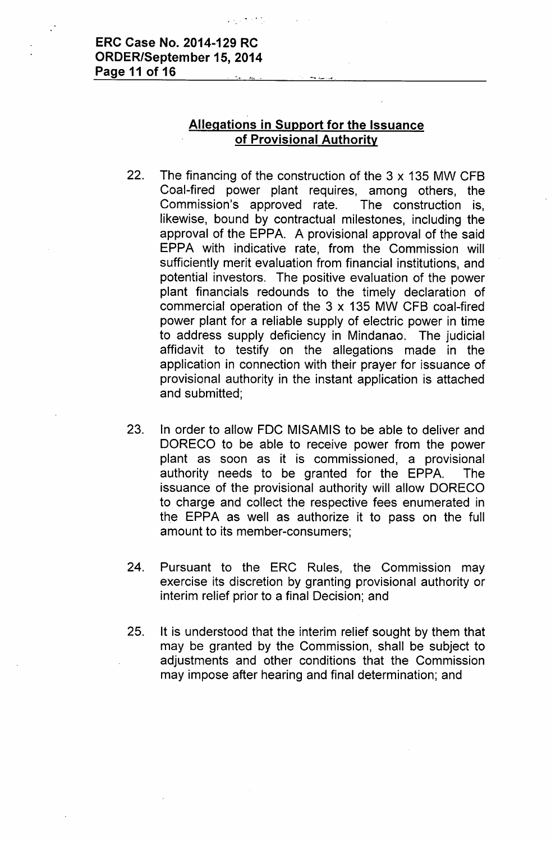## ERC Case No. 2014-129 RC ORDER/September 15,2014 Page 11 of 16

## Allegations in Support for the Issuance of Provisional Authority

- 22. The financing of the construction of the 3 x 135 MW CFB Coal-fired power plant requires, among others, the Commission's approved rate. The construction is, likewise, bound by contractual milestones, including the approval of the EPPA. A provisional approval of the said EPPA with indicative rate, from the Commission will sufficiently merit evaluation from financial institutions, and potential investors. The positive evaluation of the power plant financials redounds to the timely declaration of commercial operation of the 3 x 135 MW CFB coal-fired power plant for a reliable supply of electric power in time to address supply deficiency in Mindanao. The judicial affidavit to testify on the allegations made in the application in connection with their prayer for issuance of provisional authority in the instant application is attached and submitted;
- 23. In order to allow FDC MISAMIS to be able to deliver and DORECO to be able to receive power from the power plant as soon as it is commissioned, a provisional authority needs to be granted for the EPPA. The issuance of the provisional authority will allow DORECO to charge and collect the respective fees enumerated in the EPPA as well as authorize it to pass on the full amount to its member-consumers;
- 24. Pursuant to the ERC Rules, the Commission may exercise its discretion by granting provisional authority or interim relief prior to a final Decision; and
- 25. It is understood that the interim relief sought by them that may be granted by the Commission, shall be subject to adjustments and other conditions that the Commission may impose after hearing and final determination; and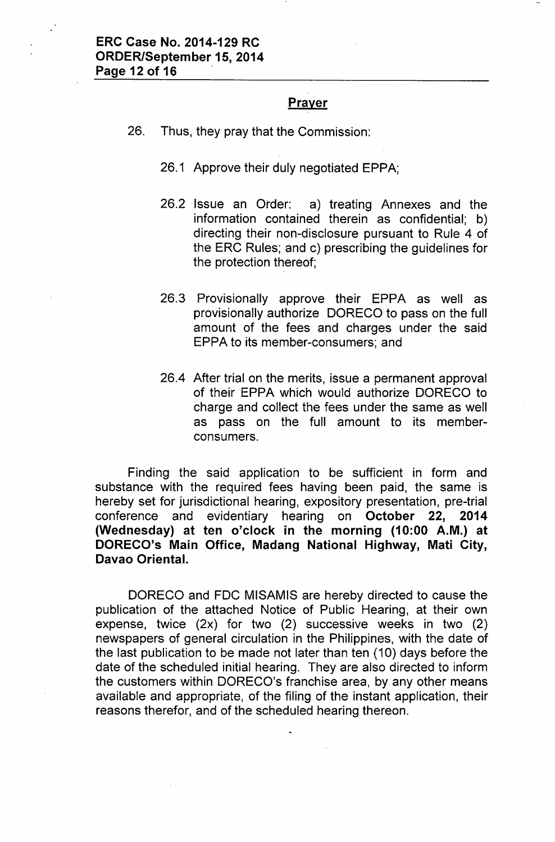### **Prayer**

- 26. Thus, they pray that the Commission:
	- 26.1 Approve their duly negotiated EPPA;
	- 26.2 Issue an Order: a) treating Annexes and the information contained therein as confidential; b) directing their non-disclosure pursuant to Rule 4 of the ERC Rules; and c) prescribing the guidelines for the protection thereof;
	- 26.3 Provisionally approve their EPPA as well as provisionally authorize OORECO to pass on the full amount of the fees and charges under the said EPPA to its member-consumers; and
	- 26.4 After trial on the merits, issue a permanent approval of their EPPA which would authorize OORECO to charge and collect the fees under the same as well as pass on the full amount to its memberconsumers.

Finding the said application to be sufficient in form and substance with the required fees having been paid, the same is hereby set for jurisdictional hearing, expository presentation, pre-trial conference and evidentiary hearing on October 22, 2014 (Wednesday) at ten o'clock in the morning (10:00 A.M.) at DORECO's Main Office, Madang National Highway, Mati City, Davao Oriental.

OORECO and FOC MISAMIS are hereby directed to cause the publication of the attached Notice of Public Hearing, at their own expense, twice (2x) for two (2) successive weeks in two (2) newspapers of general circulation in the Philippines, with the date of the last publication to be made not later than ten (10) days before the date of the scheduled initial hearing. They are also directed to inform the customers within OORECO's franchise area, by any other means available and appropriate, of the filing of the instant application, their reasons therefor, and of the scheduled hearing thereon.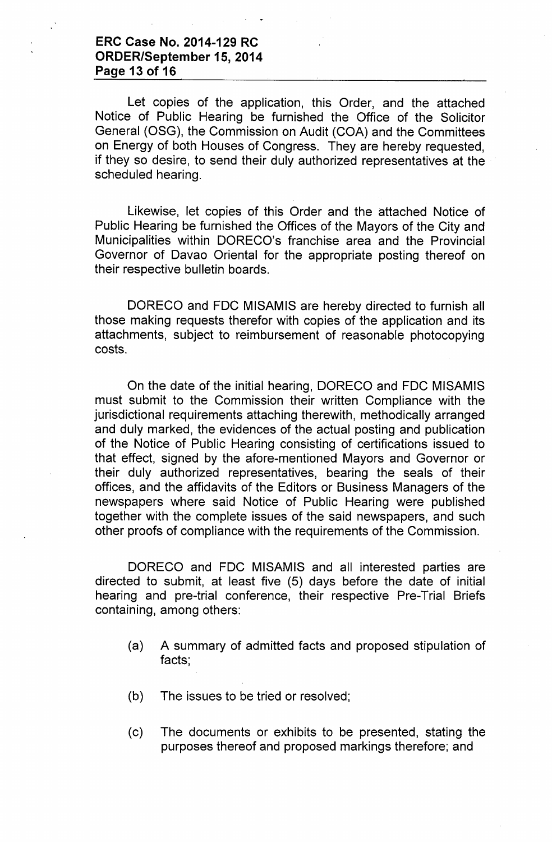### **ERC Case No. 2014-129 RC ORDER/September 15, 2014 Page 13 of 16**

Let copies of the application, this Order, and the attached Notice of Public Hearing be furnished the Office of the Solicitor General (OSG), the Commission on Audit (COA) and the Committees on Energy of both Houses of Congress. They are hereby requested, if they so desire, to send their duly authorized representatives at the scheduled hearing.

Likewise, let copies of this Order and the attached Notice of Public Hearing be furnished the Offices of the Mayors of the City and Municipalities within OORECO's franchise area and the Provincial Governor of Oavao Oriental for the appropriate posting thereof on their respective bulletin boards.

OORECO and FOC MISAMIS are hereby directed to furnish all those making requests therefor with copies of the application and its attachments, subject to reimbursement of reasonable photocopying costs.

On the date of the initial hearing, OORECO and FOC MISAMIS must submit to the Commission their written Compliance with the jurisdictional requirements attaching therewith, methodically arranged and duly marked, the evidences of the actual posting and publication of the Notice of Public Hearing consisting of certifications issued to that effect, signed by the afore-mentioned Mayors and Governor or their duly authorized representatives, bearing the seals of their offices, and the affidavits of the Editors or Business Managers of the newspapers where said Notice of Public Hearing were published together with the complete issues of the said newspapers, and such other proofs of compliance with the requirements of the Commission.

OORECO and FOC MISAMIS and all interested parties are directed to submit, at least five (5) days before the date of initial hearing and pre-trial conference, their respective Pre-Trial Briefs containing, among others:

- (a) A summary of admitted facts and proposed stipulation of facts;
- (b) The issues to be tried or resolved;
- (c) The documents or exhibits to be presented, stating the purposes thereof and proposed markings therefore; and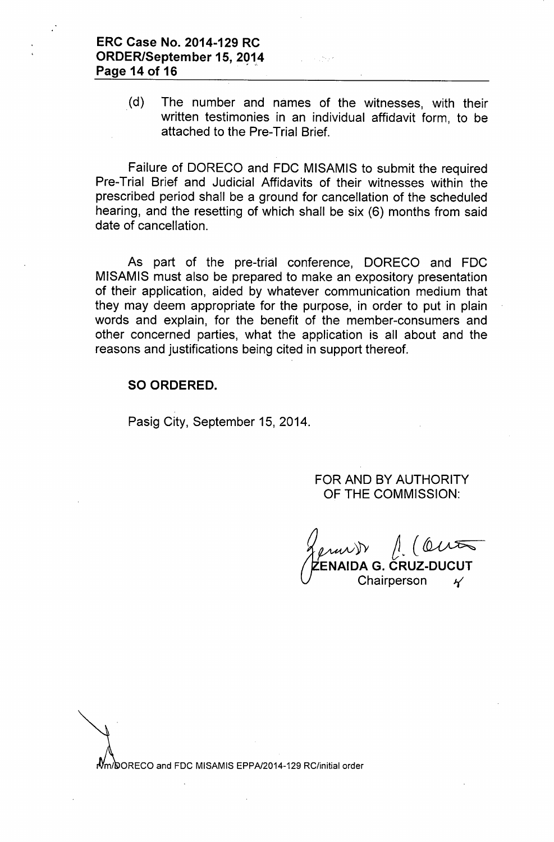(d) The number and names of the witnesses, with their written testimonies in an individual affidavit form, to be attached to the Pre-Trial Brief.

Failure of OORECO and FOC MISAMIS to submit the required Pre-Trial Brief and Judicial Affidavits of their witnesses within the prescribed period shall be a ground for cancellation of the scheduled hearing, and the resetting of which shall be six (6) months from said date of cancellation.

As part of the pre-trial conference, OORECO and FOC MISAMIS must also be prepared to make an expository presentation of their application, aided by whatever communication medium that they may deem appropriate for the purpose, in order to put in plain words and explain, for the benefit of the member-consumers and other concerned parties, what the application is all about and the reasons and justifications being cited in support thereof.

### SO ORDERED.

Pasig City, September 15, 2014.

FOR ANO BY AUTHORITY OF THE COMMISSION:

*~'fy ~~(~* ENAIDA G. CRUZ-DUCU` Chairperson *J.(*

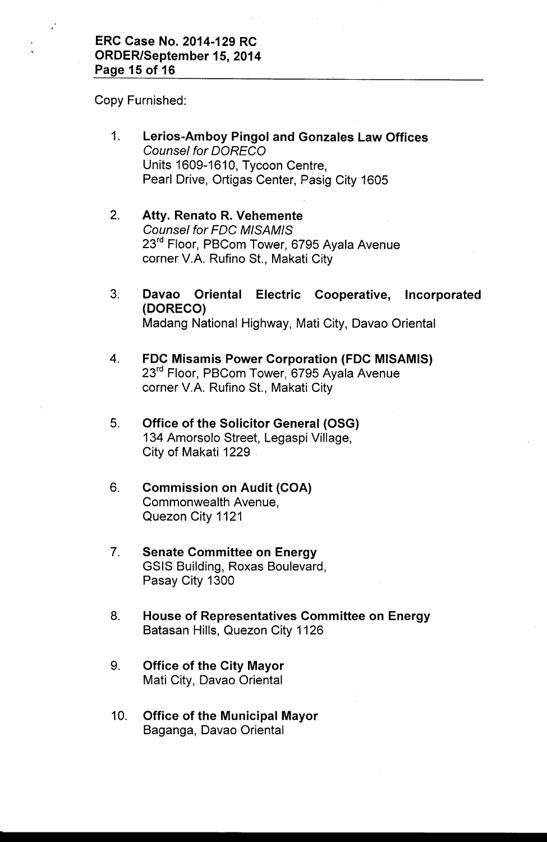Copy Furnished:

- 1. Lerios-Amboy Pingol and Gonzales Law Offices *Counsel for OORECO* Units 1609-1610, Tycoon Centre, Pearl Drive, Ortigas Center, Pasig City 1605
- 2. Atty. Renato R. Vehemente *Counsel for FOC MISAMIS* 23<sup>rd</sup> Floor, PBCom Tower, 6795 Ayala Avenue corner V.A. Rufino St., Makati City
- 3. Davao Oriental Electric Cooperative, Incorporated (DORECO) Madang National Highway, Mati City, Davao Oriental
- 4. FDC Misamis Power Corporation (FDC MISAMIS) 23<sup>rd</sup> Floor, PBCom Tower, 6795 Ayala Avenue corner V.A. Rufino St., Makati City
- 5. Office of the Solicitor General (OSG) 134 Amorsolo Street, Legaspi Village, City of Makati 1229
- 6. Commission on Audit (COA) Commonwealth Avenue, Quezon City 1121
- 7. Senate Committee on Energy GSIS Building, Roxas Boulevard, Pasay City 1300
- 8. House of Representatives Committee on Energy Batasan Hills, Quezon City 1126
- 9. Office of the City Mayor Mati City, Davao Oriental
- 10. Office of the Municipal Mayor Baganga, Davao Oriental